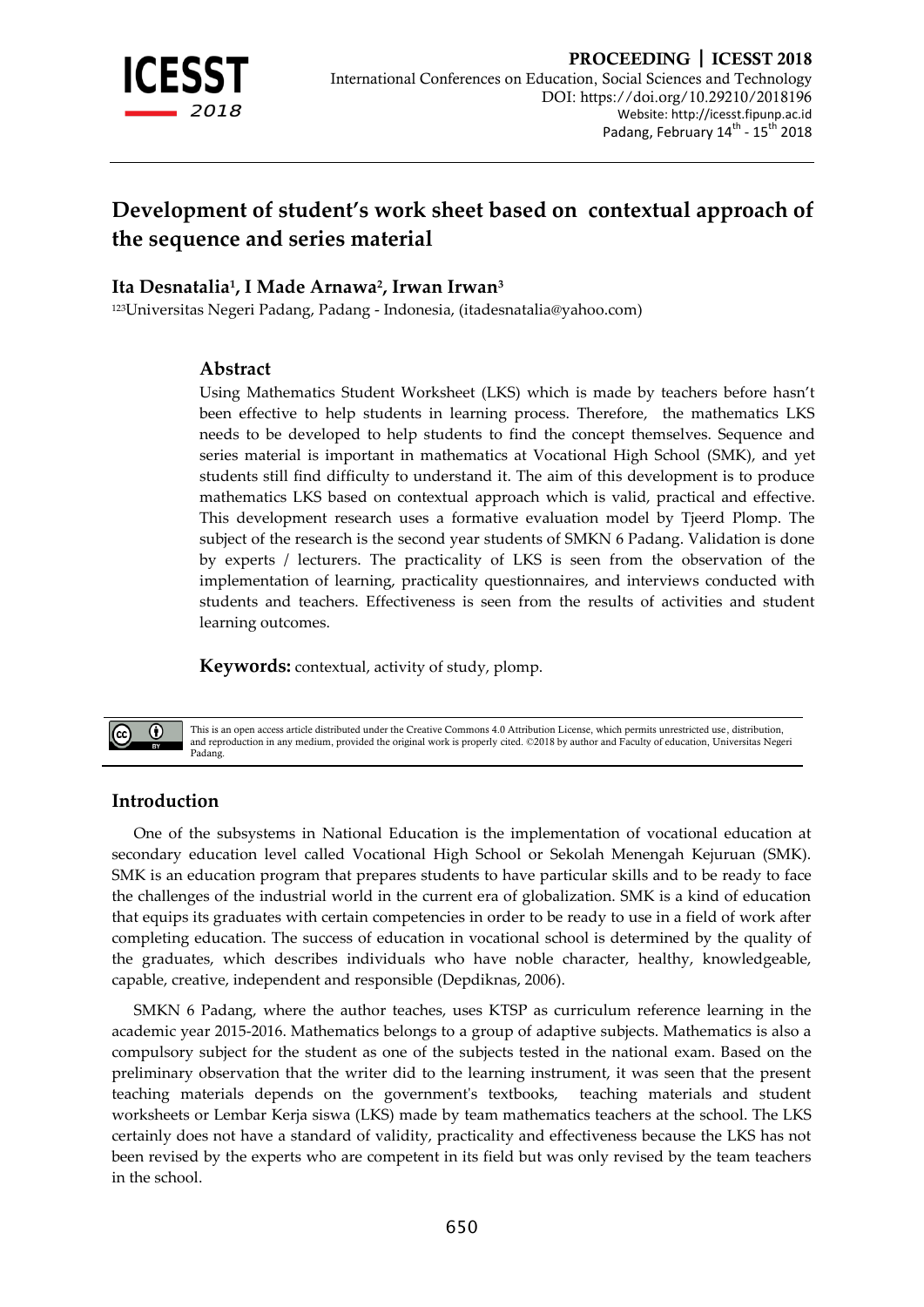

# **Development of student's work sheet based on contextual approach of the sequence and series material**

## **Ita Desnatalia<sup>1</sup> , I Made Arnawa<sup>2</sup> , Irwan Irwan<sup>3</sup>**

<sup>123</sup>Universitas Negeri Padang, Padang - Indonesia, (itadesnatalia@yahoo.com)

#### **Abstract**

Using Mathematics Student Worksheet (LKS) which is made by teachers before hasn't been effective to help students in learning process. Therefore, the mathematics LKS needs to be developed to help students to find the concept themselves. Sequence and series material is important in mathematics at Vocational High School (SMK), and yet students still find difficulty to understand it. The aim of this development is to produce mathematics LKS based on contextual approach which is valid, practical and effective. This development research uses a formative evaluation model by Tjeerd Plomp. The subject of the research is the second year students of SMKN 6 Padang. Validation is done by experts / lecturers. The practicality of LKS is seen from the observation of the implementation of learning, practicality questionnaires, and interviews conducted with students and teachers. Effectiveness is seen from the results of activities and student learning outcomes.

**Keywords:** contextual, activity of study, plomp.



This is an open access article distributed under the Creative Commons 4.0 Attribution License, which permits unrestricted use, distribution, and reproduction in any medium, provided the original work is properly cited. ©2018 by author and Faculty of education, Universitas Negeri Padang.

## **Introduction**

One of the subsystems in National Education is the implementation of vocational education at secondary education level called Vocational High School or Sekolah Menengah Kejuruan (SMK). SMK is an education program that prepares students to have particular skills and to be ready to face the challenges of the industrial world in the current era of globalization. SMK is a kind of education that equips its graduates with certain competencies in order to be ready to use in a field of work after completing education. The success of education in vocational school is determined by the quality of the graduates, which describes individuals who have noble character, healthy, knowledgeable, capable, creative, independent and responsible (Depdiknas, 2006).

SMKN 6 Padang, where the author teaches, uses KTSP as curriculum reference learning in the academic year 2015-2016. Mathematics belongs to a group of adaptive subjects. Mathematics is also a compulsory subject for the student as one of the subjects tested in the national exam. Based on the preliminary observation that the writer did to the learning instrument, it was seen that the present teaching materials depends on the government's textbooks, teaching materials and student worksheets or Lembar Kerja siswa (LKS) made by team mathematics teachers at the school. The LKS certainly does not have a standard of validity, practicality and effectiveness because the LKS has not been revised by the experts who are competent in its field but was only revised by the team teachers in the school.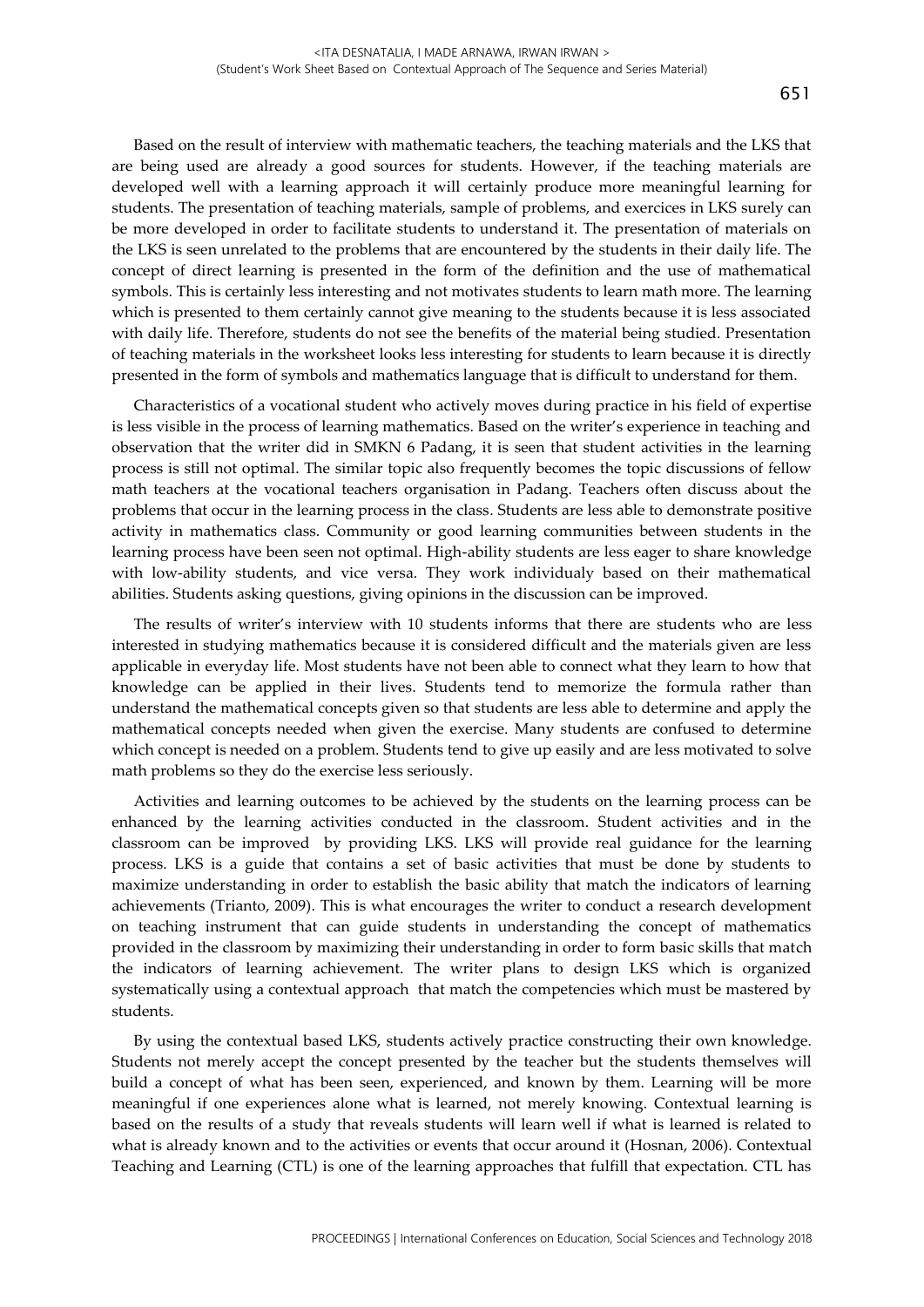Based on the result of interview with mathematic teachers, the teaching materials and the LKS that are being used are already a good sources for students. However, if the teaching materials are developed well with a learning approach it will certainly produce more meaningful learning for students. The presentation of teaching materials, sample of problems, and exercices in LKS surely can be more developed in order to facilitate students to understand it. The presentation of materials on the LKS is seen unrelated to the problems that are encountered by the students in their daily life. The concept of direct learning is presented in the form of the definition and the use of mathematical symbols. This is certainly less interesting and not motivates students to learn math more. The learning which is presented to them certainly cannot give meaning to the students because it is less associated with daily life. Therefore, students do not see the benefits of the material being studied. Presentation of teaching materials in the worksheet looks less interesting for students to learn because it is directly presented in the form of symbols and mathematics language that is difficult to understand for them.

Characteristics of a vocational student who actively moves during practice in his field of expertise is less visible in the process of learning mathematics. Based on the writer's experience in teaching and observation that the writer did in SMKN 6 Padang, it is seen that student activities in the learning process is still not optimal. The similar topic also frequently becomes the topic discussions of fellow math teachers at the vocational teachers organisation in Padang. Teachers often discuss about the problems that occur in the learning process in the class. Students are less able to demonstrate positive activity in mathematics class. Community or good learning communities between students in the learning process have been seen not optimal. High-ability students are less eager to share knowledge with low-ability students, and vice versa. They work individualy based on their mathematical abilities. Students asking questions, giving opinions in the discussion can be improved.

The results of writer's interview with 10 students informs that there are students who are less interested in studying mathematics because it is considered difficult and the materials given are less applicable in everyday life. Most students have not been able to connect what they learn to how that knowledge can be applied in their lives. Students tend to memorize the formula rather than understand the mathematical concepts given so that students are less able to determine and apply the mathematical concepts needed when given the exercise. Many students are confused to determine which concept is needed on a problem. Students tend to give up easily and are less motivated to solve math problems so they do the exercise less seriously.

Activities and learning outcomes to be achieved by the students on the learning process can be enhanced by the learning activities conducted in the classroom. Student activities and in the classroom can be improved by providing LKS. LKS will provide real guidance for the learning process. LKS is a guide that contains a set of basic activities that must be done by students to maximize understanding in order to establish the basic ability that match the indicators of learning achievements (Trianto, 2009). This is what encourages the writer to conduct a research development on teaching instrument that can guide students in understanding the concept of mathematics provided in the classroom by maximizing their understanding in order to form basic skills that match the indicators of learning achievement. The writer plans to design LKS which is organized systematically using a contextual approach that match the competencies which must be mastered by students.

By using the contextual based LKS, students actively practice constructing their own knowledge. Students not merely accept the concept presented by the teacher but the students themselves will build a concept of what has been seen, experienced, and known by them. Learning will be more meaningful if one experiences alone what is learned, not merely knowing. Contextual learning is based on the results of a study that reveals students will learn well if what is learned is related to what is already known and to the activities or events that occur around it (Hosnan, 2006). Contextual Teaching and Learning (CTL) is one of the learning approaches that fulfill that expectation. CTL has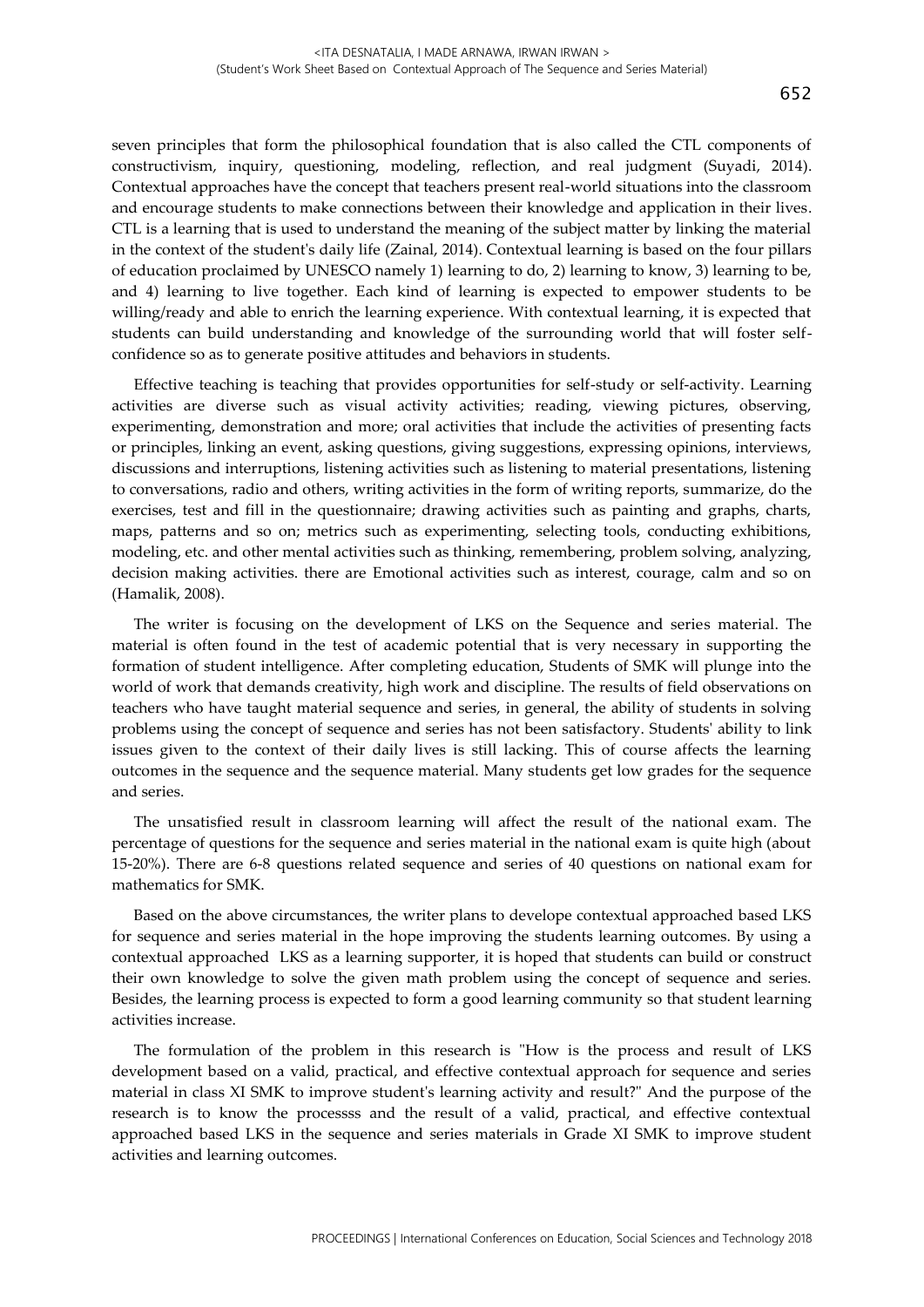seven principles that form the philosophical foundation that is also called the CTL components of constructivism, inquiry, questioning, modeling, reflection, and real judgment (Suyadi, 2014). Contextual approaches have the concept that teachers present real-world situations into the classroom and encourage students to make connections between their knowledge and application in their lives. CTL is a learning that is used to understand the meaning of the subject matter by linking the material in the context of the student's daily life (Zainal, 2014). Contextual learning is based on the four pillars of education proclaimed by UNESCO namely 1) learning to do, 2) learning to know, 3) learning to be, and 4) learning to live together. Each kind of learning is expected to empower students to be willing/ready and able to enrich the learning experience. With contextual learning, it is expected that students can build understanding and knowledge of the surrounding world that will foster selfconfidence so as to generate positive attitudes and behaviors in students.

Effective teaching is teaching that provides opportunities for self-study or self-activity. Learning activities are diverse such as visual activity activities; reading, viewing pictures, observing, experimenting, demonstration and more; oral activities that include the activities of presenting facts or principles, linking an event, asking questions, giving suggestions, expressing opinions, interviews, discussions and interruptions, listening activities such as listening to material presentations, listening to conversations, radio and others, writing activities in the form of writing reports, summarize, do the exercises, test and fill in the questionnaire; drawing activities such as painting and graphs, charts, maps, patterns and so on; metrics such as experimenting, selecting tools, conducting exhibitions, modeling, etc. and other mental activities such as thinking, remembering, problem solving, analyzing, decision making activities. there are Emotional activities such as interest, courage, calm and so on (Hamalik, 2008).

The writer is focusing on the development of LKS on the Sequence and series material. The material is often found in the test of academic potential that is very necessary in supporting the formation of student intelligence. After completing education, Students of SMK will plunge into the world of work that demands creativity, high work and discipline. The results of field observations on teachers who have taught material sequence and series, in general, the ability of students in solving problems using the concept of sequence and series has not been satisfactory. Students' ability to link issues given to the context of their daily lives is still lacking. This of course affects the learning outcomes in the sequence and the sequence material. Many students get low grades for the sequence and series.

The unsatisfied result in classroom learning will affect the result of the national exam. The percentage of questions for the sequence and series material in the national exam is quite high (about 15-20%). There are 6-8 questions related sequence and series of 40 questions on national exam for mathematics for SMK.

Based on the above circumstances, the writer plans to develope contextual approached based LKS for sequence and series material in the hope improving the students learning outcomes. By using a contextual approached LKS as a learning supporter, it is hoped that students can build or construct their own knowledge to solve the given math problem using the concept of sequence and series. Besides, the learning process is expected to form a good learning community so that student learning activities increase.

The formulation of the problem in this research is "How is the process and result of LKS development based on a valid, practical, and effective contextual approach for sequence and series material in class XI SMK to improve student's learning activity and result?" And the purpose of the research is to know the processss and the result of a valid, practical, and effective contextual approached based LKS in the sequence and series materials in Grade XI SMK to improve student activities and learning outcomes.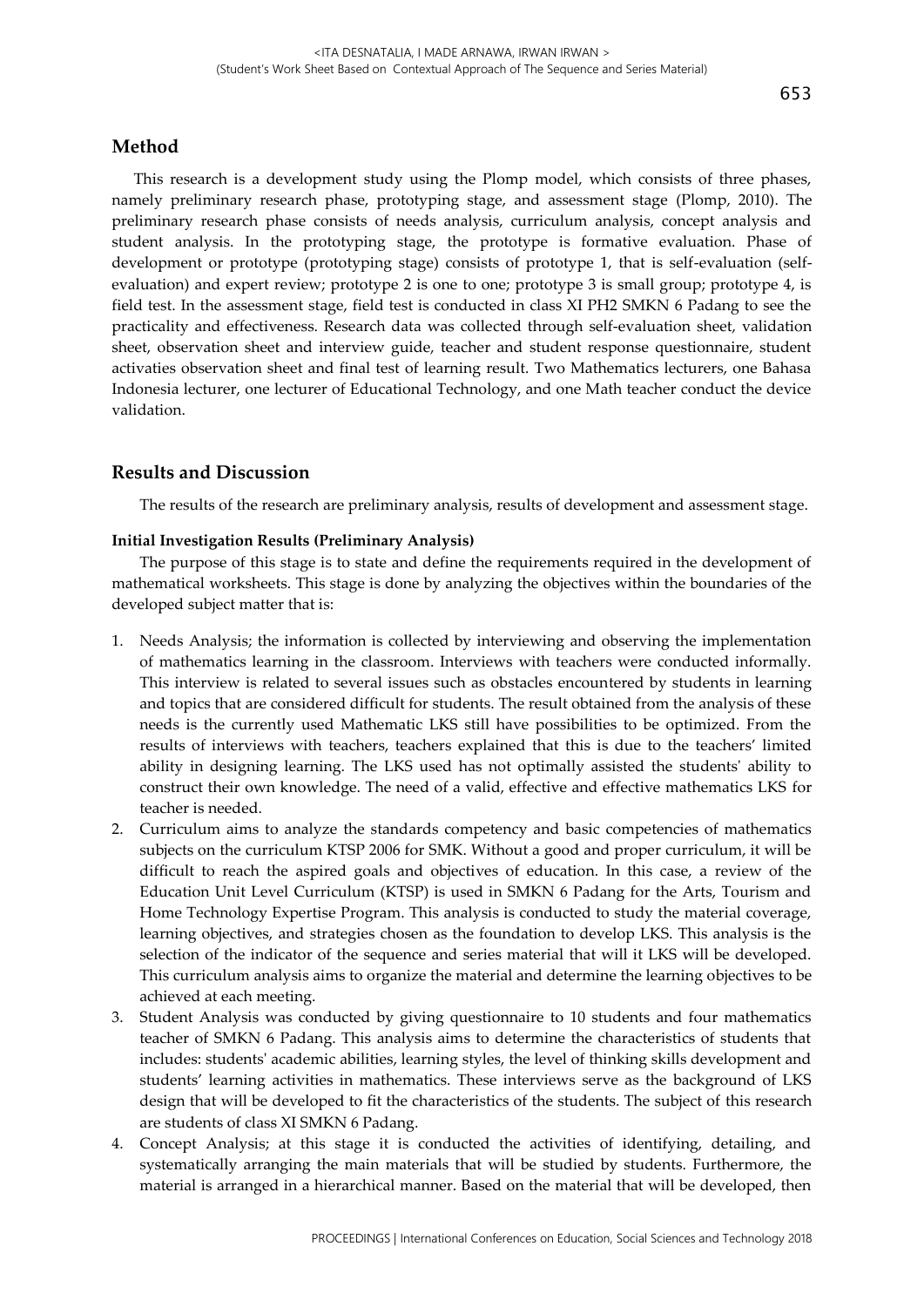## **Method**

This research is a development study using the Plomp model, which consists of three phases, namely preliminary research phase, prototyping stage, and assessment stage (Plomp, 2010). The preliminary research phase consists of needs analysis, curriculum analysis, concept analysis and student analysis. In the prototyping stage, the prototype is formative evaluation. Phase of development or prototype (prototyping stage) consists of prototype 1, that is self-evaluation (selfevaluation) and expert review; prototype 2 is one to one; prototype 3 is small group; prototype 4, is field test. In the assessment stage, field test is conducted in class XI PH2 SMKN 6 Padang to see the practicality and effectiveness. Research data was collected through self-evaluation sheet, validation sheet, observation sheet and interview guide, teacher and student response questionnaire, student activaties observation sheet and final test of learning result. Two Mathematics lecturers, one Bahasa Indonesia lecturer, one lecturer of Educational Technology, and one Math teacher conduct the device validation.

## **Results and Discussion**

The results of the research are preliminary analysis, results of development and assessment stage.

#### **Initial Investigation Results (Preliminary Analysis)**

The purpose of this stage is to state and define the requirements required in the development of mathematical worksheets. This stage is done by analyzing the objectives within the boundaries of the developed subject matter that is:

- 1. Needs Analysis; the information is collected by interviewing and observing the implementation of mathematics learning in the classroom. Interviews with teachers were conducted informally. This interview is related to several issues such as obstacles encountered by students in learning and topics that are considered difficult for students. The result obtained from the analysis of these needs is the currently used Mathematic LKS still have possibilities to be optimized. From the results of interviews with teachers, teachers explained that this is due to the teachers' limited ability in designing learning. The LKS used has not optimally assisted the students' ability to construct their own knowledge. The need of a valid, effective and effective mathematics LKS for teacher is needed.
- 2. Curriculum aims to analyze the standards competency and basic competencies of mathematics subjects on the curriculum KTSP 2006 for SMK. Without a good and proper curriculum, it will be difficult to reach the aspired goals and objectives of education. In this case, a review of the Education Unit Level Curriculum (KTSP) is used in SMKN 6 Padang for the Arts, Tourism and Home Technology Expertise Program. This analysis is conducted to study the material coverage, learning objectives, and strategies chosen as the foundation to develop LKS. This analysis is the selection of the indicator of the sequence and series material that will it LKS will be developed. This curriculum analysis aims to organize the material and determine the learning objectives to be achieved at each meeting.
- 3. Student Analysis was conducted by giving questionnaire to 10 students and four mathematics teacher of SMKN 6 Padang. This analysis aims to determine the characteristics of students that includes: students' academic abilities, learning styles, the level of thinking skills development and students' learning activities in mathematics. These interviews serve as the background of LKS design that will be developed to fit the characteristics of the students. The subject of this research are students of class XI SMKN 6 Padang.
- 4. Concept Analysis; at this stage it is conducted the activities of identifying, detailing, and systematically arranging the main materials that will be studied by students. Furthermore, the material is arranged in a hierarchical manner. Based on the material that will be developed, then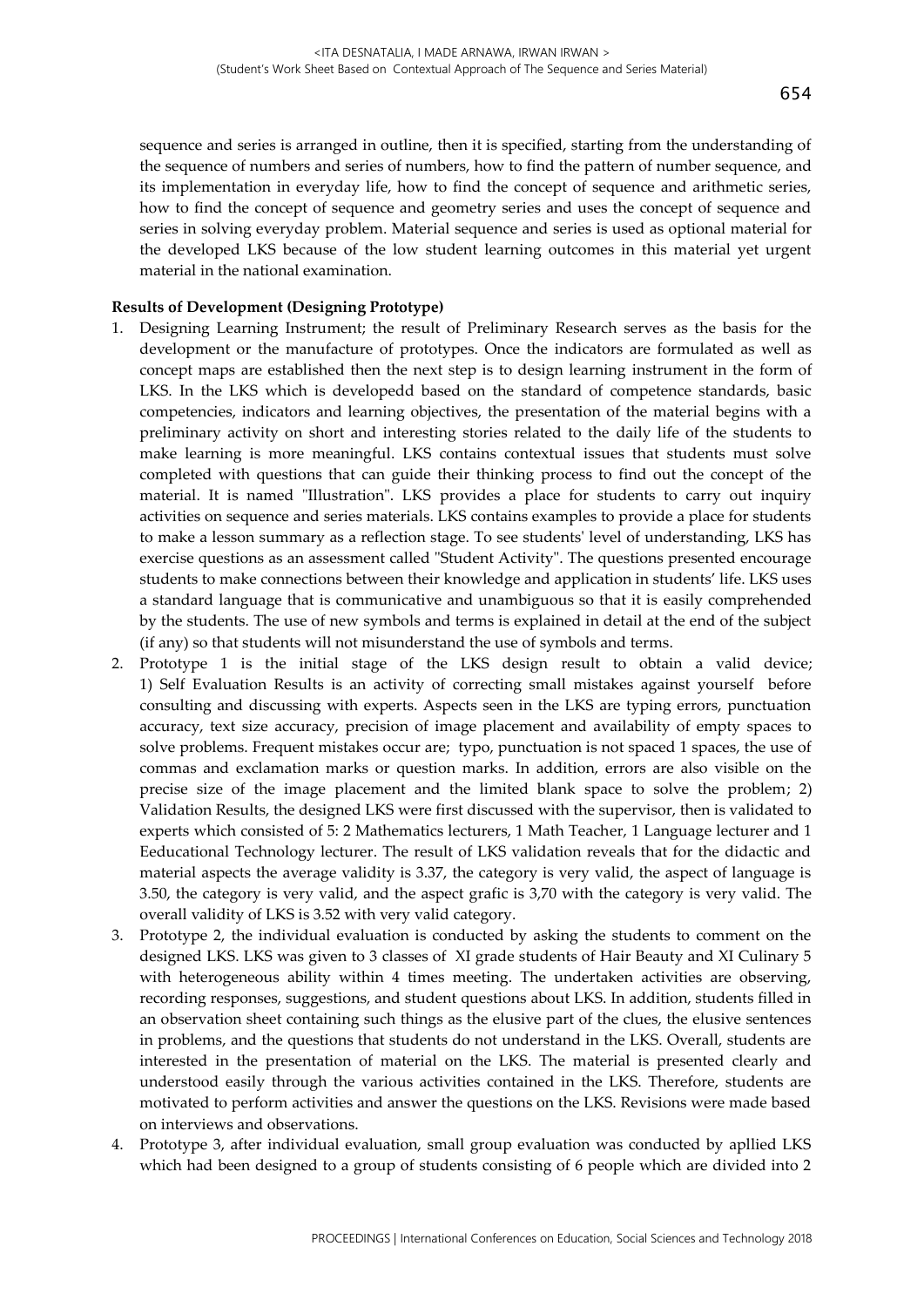sequence and series is arranged in outline, then it is specified, starting from the understanding of the sequence of numbers and series of numbers, how to find the pattern of number sequence, and its implementation in everyday life, how to find the concept of sequence and arithmetic series, how to find the concept of sequence and geometry series and uses the concept of sequence and series in solving everyday problem. Material sequence and series is used as optional material for the developed LKS because of the low student learning outcomes in this material yet urgent material in the national examination.

#### **Results of Development (Designing Prototype)**

- 1. Designing Learning Instrument; the result of Preliminary Research serves as the basis for the development or the manufacture of prototypes. Once the indicators are formulated as well as concept maps are established then the next step is to design learning instrument in the form of LKS. In the LKS which is developedd based on the standard of competence standards, basic competencies, indicators and learning objectives, the presentation of the material begins with a preliminary activity on short and interesting stories related to the daily life of the students to make learning is more meaningful. LKS contains contextual issues that students must solve completed with questions that can guide their thinking process to find out the concept of the material. It is named "Illustration". LKS provides a place for students to carry out inquiry activities on sequence and series materials. LKS contains examples to provide a place for students to make a lesson summary as a reflection stage. To see students' level of understanding, LKS has exercise questions as an assessment called "Student Activity". The questions presented encourage students to make connections between their knowledge and application in students' life. LKS uses a standard language that is communicative and unambiguous so that it is easily comprehended by the students. The use of new symbols and terms is explained in detail at the end of the subject (if any) so that students will not misunderstand the use of symbols and terms.
- 2. Prototype 1 is the initial stage of the LKS design result to obtain a valid device; 1) Self Evaluation Results is an activity of correcting small mistakes against yourself before consulting and discussing with experts. Aspects seen in the LKS are typing errors, punctuation accuracy, text size accuracy, precision of image placement and availability of empty spaces to solve problems. Frequent mistakes occur are; typo, punctuation is not spaced 1 spaces, the use of commas and exclamation marks or question marks. In addition, errors are also visible on the precise size of the image placement and the limited blank space to solve the problem; 2) Validation Results, the designed LKS were first discussed with the supervisor, then is validated to experts which consisted of 5: 2 Mathematics lecturers, 1 Math Teacher, 1 Language lecturer and 1 Eeducational Technology lecturer. The result of LKS validation reveals that for the didactic and material aspects the average validity is 3.37, the category is very valid, the aspect of language is 3.50, the category is very valid, and the aspect grafic is 3,70 with the category is very valid. The overall validity of LKS is 3.52 with very valid category.
- 3. Prototype 2, the individual evaluation is conducted by asking the students to comment on the designed LKS. LKS was given to 3 classes of XI grade students of Hair Beauty and XI Culinary 5 with heterogeneous ability within 4 times meeting. The undertaken activities are observing, recording responses, suggestions, and student questions about LKS. In addition, students filled in an observation sheet containing such things as the elusive part of the clues, the elusive sentences in problems, and the questions that students do not understand in the LKS. Overall, students are interested in the presentation of material on the LKS. The material is presented clearly and understood easily through the various activities contained in the LKS. Therefore, students are motivated to perform activities and answer the questions on the LKS. Revisions were made based on interviews and observations.
- 4. Prototype 3, after individual evaluation, small group evaluation was conducted by apllied LKS which had been designed to a group of students consisting of 6 people which are divided into 2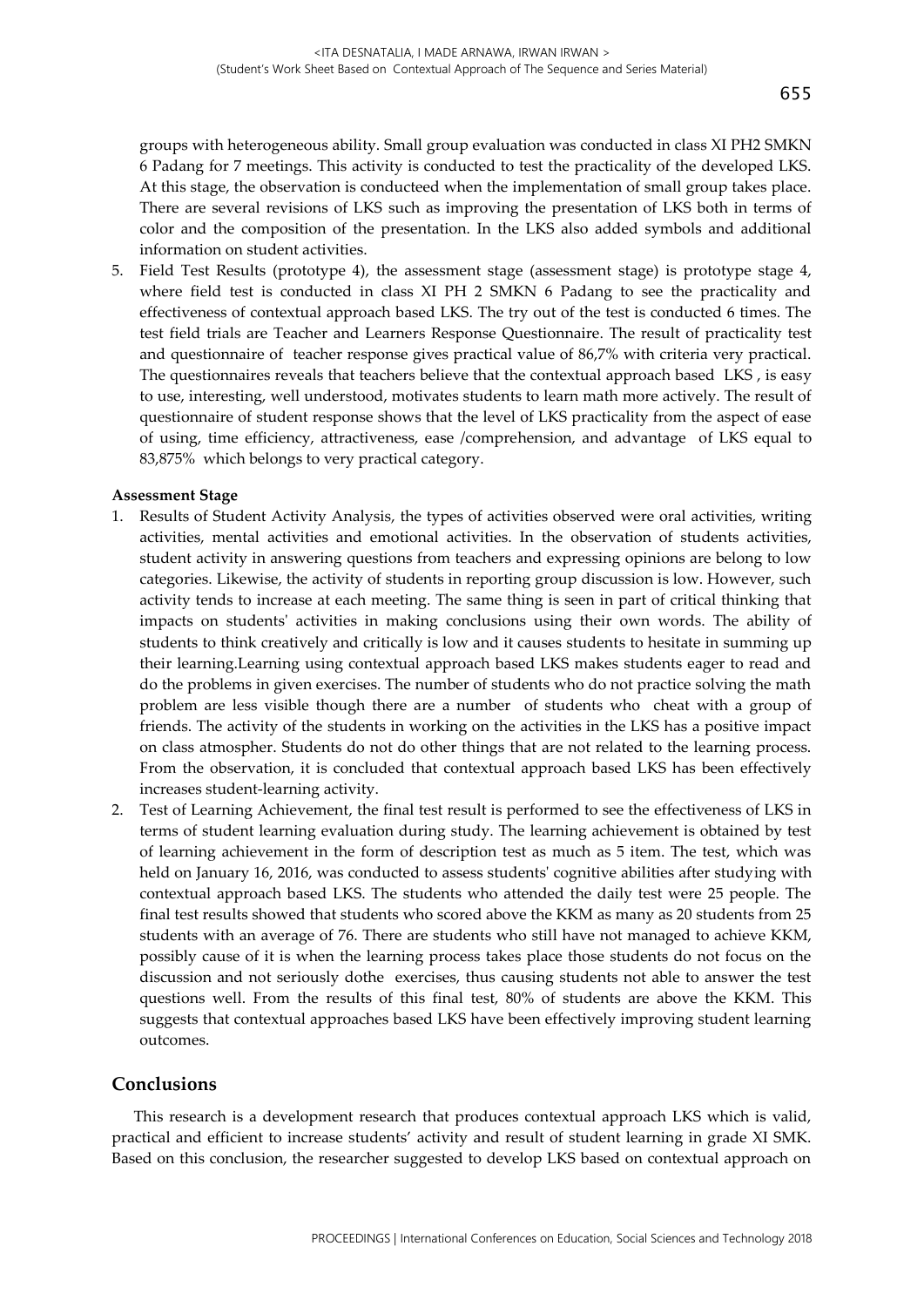groups with heterogeneous ability. Small group evaluation was conducted in class XI PH2 SMKN 6 Padang for 7 meetings. This activity is conducted to test the practicality of the developed LKS. At this stage, the observation is conducteed when the implementation of small group takes place. There are several revisions of LKS such as improving the presentation of LKS both in terms of color and the composition of the presentation. In the LKS also added symbols and additional information on student activities.

5. Field Test Results (prototype 4), the assessment stage (assessment stage) is prototype stage 4, where field test is conducted in class XI PH 2 SMKN 6 Padang to see the practicality and effectiveness of contextual approach based LKS. The try out of the test is conducted 6 times. The test field trials are Teacher and Learners Response Questionnaire. The result of practicality test and questionnaire of teacher response gives practical value of 86,7% with criteria very practical. The questionnaires reveals that teachers believe that the contextual approach based LKS , is easy to use, interesting, well understood, motivates students to learn math more actively. The result of questionnaire of student response shows that the level of LKS practicality from the aspect of ease of using, time efficiency, attractiveness, ease /comprehension, and advantage of LKS equal to 83,875% which belongs to very practical category.

#### **Assessment Stage**

- 1. Results of Student Activity Analysis, the types of activities observed were oral activities, writing activities, mental activities and emotional activities. In the observation of students activities, student activity in answering questions from teachers and expressing opinions are belong to low categories. Likewise, the activity of students in reporting group discussion is low. However, such activity tends to increase at each meeting. The same thing is seen in part of critical thinking that impacts on students' activities in making conclusions using their own words. The ability of students to think creatively and critically is low and it causes students to hesitate in summing up their learning.Learning using contextual approach based LKS makes students eager to read and do the problems in given exercises. The number of students who do not practice solving the math problem are less visible though there are a number of students who cheat with a group of friends. The activity of the students in working on the activities in the LKS has a positive impact on class atmospher. Students do not do other things that are not related to the learning process. From the observation, it is concluded that contextual approach based LKS has been effectively increases student-learning activity.
- 2. Test of Learning Achievement, the final test result is performed to see the effectiveness of LKS in terms of student learning evaluation during study. The learning achievement is obtained by test of learning achievement in the form of description test as much as 5 item. The test, which was held on January 16, 2016, was conducted to assess students' cognitive abilities after studying with contextual approach based LKS. The students who attended the daily test were 25 people. The final test results showed that students who scored above the KKM as many as 20 students from 25 students with an average of 76. There are students who still have not managed to achieve KKM, possibly cause of it is when the learning process takes place those students do not focus on the discussion and not seriously dothe exercises, thus causing students not able to answer the test questions well. From the results of this final test, 80% of students are above the KKM. This suggests that contextual approaches based LKS have been effectively improving student learning outcomes.

#### **Conclusions**

This research is a development research that produces contextual approach LKS which is valid, practical and efficient to increase students' activity and result of student learning in grade XI SMK. Based on this conclusion, the researcher suggested to develop LKS based on contextual approach on